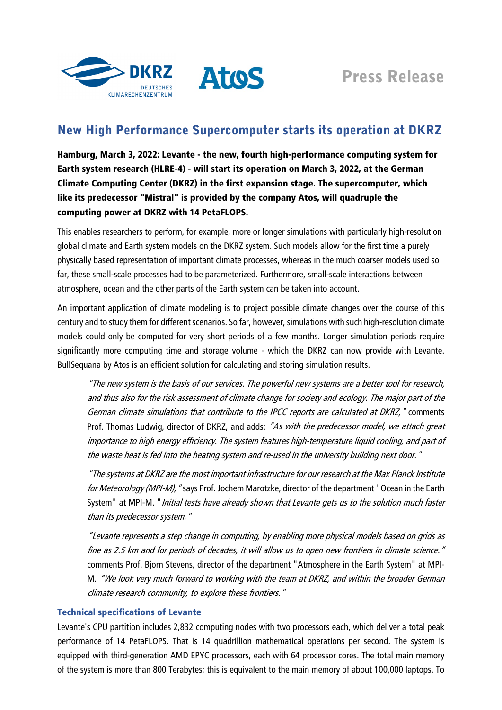



# New High Performance Supercomputer starts its operation at DKRZ

Hamburg, March 3, 2022: Levante - the new, fourth high-performance computing system for Earth system research (HLRE-4) - will start its operation on March 3, 2022, at the German Climate Computing Center (DKRZ) in the first expansion stage. The supercomputer, which like its predecessor "Mistral" is provided by the company Atos, will quadruple the computing power at DKRZ with 14 PetaFLOPS.

This enables researchers to perform, for example, more or longer simulations with particularly high-resolution global climate and Earth system models on the DKRZ system. Such models allow for the first time a purely physically based representation of important climate processes, whereas in the much coarser models used so far, these small-scale processes had to be parameterized. Furthermore, small-scale interactions between atmosphere, ocean and the other parts of the Earth system can be taken into account.

An important application of climate modeling is to project possible climate changes over the course of this century and to study them for different scenarios. So far, however, simulations with such high-resolution climate models could only be computed for very short periods of a few months. Longer simulation periods require significantly more computing time and storage volume - which the DKRZ can now provide with Levante. BullSequana by Atos is an efficient solution for calculating and storing simulation results.

"The new system is the basis of our services. The powerful new systems are a better tool for research, and thus also for the risk assessment of climate change for society and ecology. The major part of the German climate simulations that contribute to the IPCC reports are calculated at DKRZ," comments Prof. Thomas Ludwig, director of DKRZ, and adds: "As with the predecessor model, we attach great importance to high energy efficiency. The system features high-temperature liquid cooling, and part of the waste heat is fed into the heating system and re-used in the university building next door."

"The systems at DKRZ are the most important infrastructure for our research at the Max Planck Institute for Meteorology (MPI-M), "says Prof. Jochem Marotzke, director of the department "Ocean in the Earth System" at MPI-M. "*Initial tests have already shown that Levante gets us to the solution much faster* than its predecessor system."

"Levante represents a step change in computing, by enabling more physical models based on grids as fine as 2.5 km and for periods of decades, it will allow us to open new frontiers in climate science." comments Prof. Bjorn Stevens, director of the department "Atmosphere in the Earth System" at MPI-M. "We look very much forward to working with the team at DKRZ, and within the broader German climate research community, to explore these frontiers."

# Technical specifications of Levante

Levante's CPU partition includes 2,832 computing nodes with two processors each, which deliver a total peak performance of 14 PetaFLOPS. That is 14 quadrillion mathematical operations per second. The system is equipped with third-generation AMD EPYC processors, each with 64 processor cores. The total main memory of the system is more than 800 Terabytes; this is equivalent to the main memory of about 100,000 laptops. To